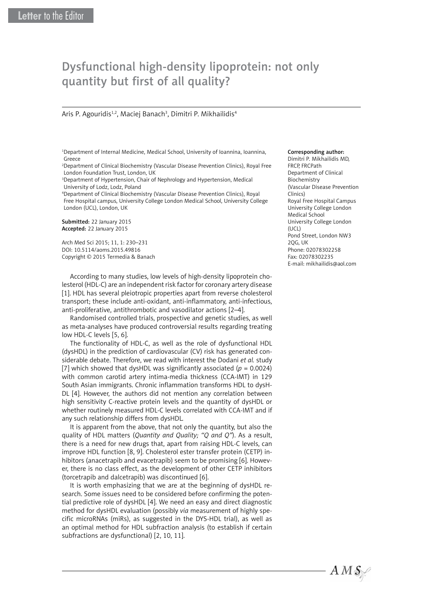# Dysfunctional high-density lipoprotein: not only quantity but first of all quality?

# Aris P. Agouridis<sup>1,2</sup>, Maciej Banach<sup>3</sup>, Dimitri P. Mikhailidis<sup>4</sup>

1 Department of Internal Medicine, Medical School, University of Ioannina, Ioannina, Greece

2 Department of Clinical Biochemistry (Vascular Disease Prevention Clinics), Royal Free London Foundation Trust, London, UK

<sup>3</sup>Department of Hypertension, Chair of Nephrology and Hypertension, Medical University of Lodz, Lodz, Poland

4 Department of Clinical Biochemistry (Vascular Disease Prevention Clinics), Royal Free Hospital campus, University College London Medical School, University College London (UCL), London, UK

Submitted: 22 January 2015 Accepted: 22 January 2015

Arch Med Sci 2015; 11, 1: 230–231 DOI: 10.5114/aoms.2015.49816 Copyright © 2015 Termedia & Banach

According to many studies, low levels of high-density lipoprotein cholesterol (HDL-C) are an independent risk factor for coronary artery disease [1]. HDL has several pleiotropic properties apart from reverse cholesterol transport; these include anti-oxidant, anti-inflammatory, anti-infectious, anti-proliferative, antithrombotic and vasodilator actions [2–4].

Randomised controlled trials, prospective and genetic studies, as well as meta-analyses have produced controversial results regarding treating low HDL-C levels [5, 6].

The functionality of HDL-C, as well as the role of dysfunctional HDL (dysHDL) in the prediction of cardiovascular (CV) risk has generated considerable debate. Therefore, we read with interest the Dodani *et al.* study [7] which showed that dysHDL was significantly associated  $(p = 0.0024)$ with common carotid artery intima-media thickness (CCA-IMT) in 129 South Asian immigrants. Chronic inflammation transforms HDL to dysH-DL [4]. However, the authors did not mention any correlation between high sensitivity C-reactive protein levels and the quantity of dysHDL or whether routinely measured HDL-C levels correlated with CCA-IMT and if any such relationship differs from dysHDL.

It is apparent from the above, that not only the quantity, but also the quality of HDL matters (*Quantity and Quality; "Q and Q"*). As a result, there is a need for new drugs that, apart from raising HDL-C levels, can improve HDL function [8, 9]. Cholesterol ester transfer protein (CETP) inhibitors (anacetrapib and evacetrapib) seem to be promising [6]. However, there is no class effect, as the development of other CETP inhibitors (torcetrapib and dalcetrapib) was discontinued [6].

It is worth emphasizing that we are at the beginning of dysHDL research. Some issues need to be considered before confirming the potential predictive role of dysHDL [4]. We need an easy and direct diagnostic method for dysHDL evaluation (possibly *via* measurement of highly specific microRNAs (miRs), as suggested in the DYS-HDL trial), as well as an optimal method for HDL subfraction analysis (to establish if certain subfractions are dysfunctional) [2, 10, 11].

#### Corresponding author:

Dimitri P. Mikhailidis MD, FRCP, FRCPath Department of Clinical Biochemistry (Vascular Disease Prevention Clinics) Royal Free Hospital Campus University College London Medical School University College London  $(1|C|)$ Pond Street, London NW3 2QG, UK Phone: 02078302258 Fax: 02078302235 E-mail: mikhailidis@aol.com